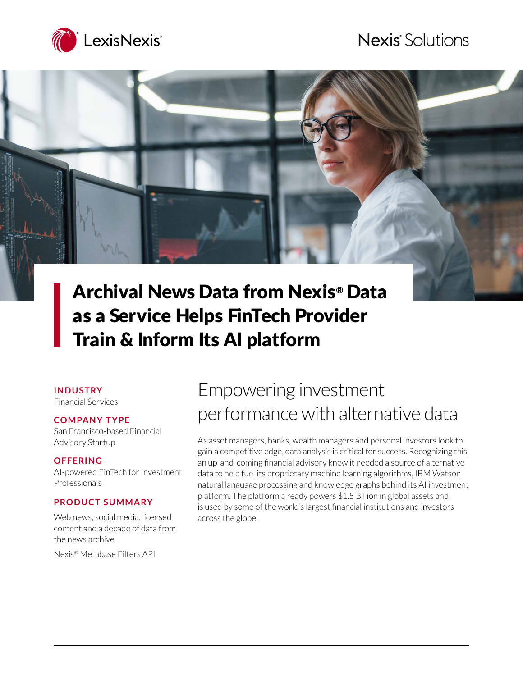## Nexis<sup>®</sup> Solutions



# Archival News Data from Nexis® Data as a Service Helps FinTech Provider Train & Inform Its AI platform

#### **I N D U S T RY**

Financial Services

#### **CO M PA N Y T Y PE**

San Francisco-based Financial Advisory Startup

#### **OFFERING**

AI-powered FinTech for Investment Professionals

### **PRODUCT SUMMARY**

Web news, social media, licensed content and a decade of data from the news archive

Nexis® Metabase Filters API

# Empowering investment performance with alternative data

As asset managers, banks, wealth managers and personal investors look to gain a competitive edge, data analysis is critical for success. Recognizing this, an up-and-coming financial advisory knew it needed a source of alternative data to help fuel its proprietary machine learning algorithms, IBM Watson natural language processing and knowledge graphs behind its AI investment platform. The platform already powers \$1.5 Billion in global assets and is used by some of the world's largest financial institutions and investors across the globe.